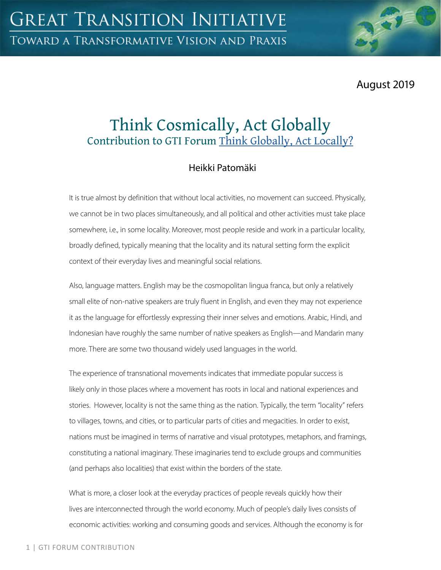August 2019

# Think Cosmically, Act Globally Contribution to GTI Forum Think Globally, Act Locally?

## Heikki Patomäki

It is true almost by definition that without local activities, no movement can succeed. Physically, we cannot be in two places simultaneously, and all political and other activities must take place somewhere, i.e., in some locality. Moreover, most people reside and work in a particular locality, broadly defined, typically meaning that the locality and its natural setting form the explicit context of their everyday lives and meaningful social relations.

Also, language matters. English may be the cosmopolitan lingua franca, but only a relatively small elite of non-native speakers are truly fluent in English, and even they may not experience it as the language for effortlessly expressing their inner selves and emotions. Arabic, Hindi, and Indonesian have roughly the same number of native speakers as English—and Mandarin many more. There are some two thousand widely used languages in the world.

The experience of transnational movements indicates that immediate popular success is likely only in those places where a movement has roots in local and national experiences and stories. However, locality is not the same thing as the nation. Typically, the term "locality" refers to villages, towns, and cities, or to particular parts of cities and megacities. In order to exist, nations must be imagined in terms of narrative and visual prototypes, metaphors, and framings, constituting a national imaginary. These imaginaries tend to exclude groups and communities (and perhaps also localities) that exist within the borders of the state.

What is more, a closer look at the everyday practices of people reveals quickly how their lives are interconnected through the world economy. Much of people's daily lives consists of economic activities: working and consuming goods and services. Although the economy is for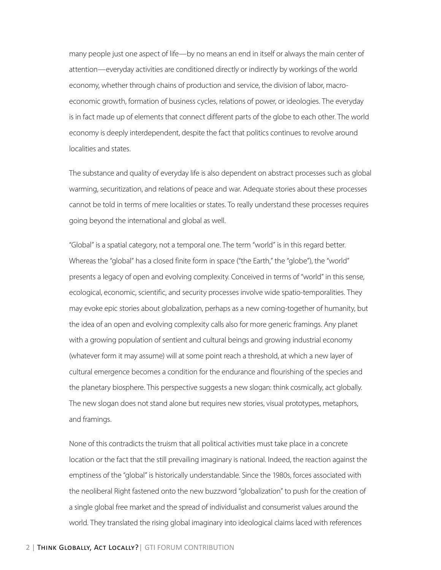many people just one aspect of life—by no means an end in itself or always the main center of attention—everyday activities are conditioned directly or indirectly by workings of the world economy, whether through chains of production and service, the division of labor, macroeconomic growth, formation of business cycles, relations of power, or ideologies. The everyday is in fact made up of elements that connect different parts of the globe to each other. The world economy is deeply interdependent, despite the fact that politics continues to revolve around localities and states.

The substance and quality of everyday life is also dependent on abstract processes such as global warming, securitization, and relations of peace and war. Adequate stories about these processes cannot be told in terms of mere localities or states. To really understand these processes requires going beyond the international and global as well.

"Global" is a spatial category, not a temporal one. The term "world" is in this regard better. Whereas the "global" has a closed finite form in space ("the Earth," the "globe"), the "world" presents a legacy of open and evolving complexity. Conceived in terms of "world" in this sense, ecological, economic, scientific, and security processes involve wide spatio-temporalities. They may evoke epic stories about globalization, perhaps as a new coming-together of humanity, but the idea of an open and evolving complexity calls also for more generic framings. Any planet with a growing population of sentient and cultural beings and growing industrial economy (whatever form it may assume) will at some point reach a threshold, at which a new layer of cultural emergence becomes a condition for the endurance and flourishing of the species and the planetary biosphere. This perspective suggests a new slogan: think cosmically, act globally. The new slogan does not stand alone but requires new stories, visual prototypes, metaphors, and framings.

None of this contradicts the truism that all political activities must take place in a concrete location or the fact that the still prevailing imaginary is national. Indeed, the reaction against the emptiness of the "global" is historically understandable. Since the 1980s, forces associated with the neoliberal Right fastened onto the new buzzword "globalization" to push for the creation of a single global free market and the spread of individualist and consumerist values around the world. They translated the rising global imaginary into ideological claims laced with references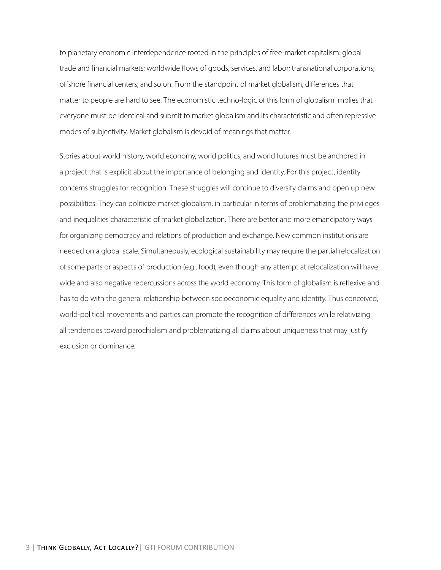to planetary economic interdependence rooted in the principles of free-market capitalism: global trade and financial markets; worldwide flows of goods, services, and labor; transnational corporations; offshore financial centers; and so on. From the standpoint of market globalism, differences that matter to people are hard to see. The economistic techno-logic of this form of globalism implies that everyone must be identical and submit to market globalism and its characteristic and often repressive modes of subjectivity. Market globalism is devoid of meanings that matter.

Stories about world history, world economy, world politics, and world futures must be anchored in a project that is explicit about the importance of belonging and identity. For this project, identity concerns struggles for recognition. These struggles will continue to diversify claims and open up new possibilities. They can politicize market globalism, in particular in terms of problematizing the privileges and inequalities characteristic of market globalization. There are better and more emancipatory ways for organizing democracy and relations of production and exchange. New common institutions are needed on a global scale. Simultaneously, ecological sustainability may require the partial relocalization of some parts or aspects of production (e.g., food), even though any attempt at relocalization will have wide and also negative repercussions across the world economy. This form of globalism is reflexive and has to do with the general relationship between socioeconomic equality and identity. Thus conceived, world-political movements and parties can promote the recognition of differences while relativizing all tendencies toward parochialism and problematizing all claims about uniqueness that may justify exclusion or dominance.